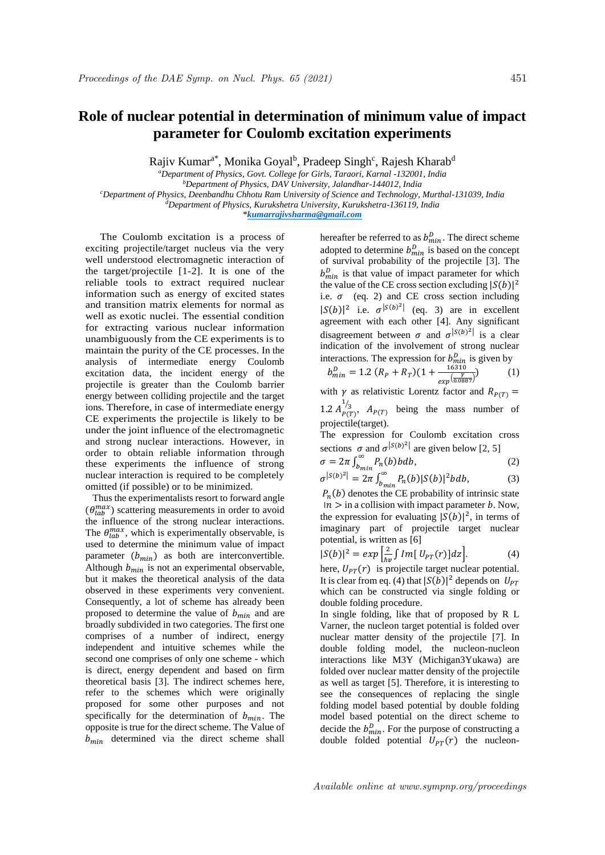## **Role of nuclear potential in determination of minimum value of impact parameter for Coulomb excitation experiments**

Rajiv Kumar<sup>a\*</sup>, Monika Goyal<sup>b</sup>, Pradeep Singh<sup>c</sup>, Rajesh Kharab<sup>d</sup>

*<sup>a</sup>Department of Physics, Govt. College for Girls, Taraori, Karnal -132001, India <sup>b</sup>Department of Physics, DAV University, Jalandhar-144012, India <sup>c</sup>Department of Physics, Deenbandhu Chhotu Ram University of Science and Technology, Murthal-131039, India <sup>d</sup>Department of Physics, Kurukshetra University, Kurukshetra-136119, India* \**kumarrajivsharma@gmail.com*

The Coulomb excitation is a process of exciting projectile/target nucleus via the very well understood electromagnetic interaction of the target/projectile [1-2]. It is one of the reliable tools to extract required nuclear information such as energy of excited states and transition matrix elements for normal as well as exotic nuclei. The essential condition for extracting various nuclear information unambiguously from the CE experiments is to maintain the purity of the CE processes. In the analysis of intermediate energy Coulomb excitation data, the incident energy of the projectile is greater than the Coulomb barrier energy between colliding projectile and the target ions. Therefore, in case of intermediate energy CE experiments the projectile is likely to be under the joint influence of the electromagnetic and strong nuclear interactions. However, in order to obtain reliable information through these experiments the influence of strong nuclear interaction is required to be completely omitted (if possible) or to be minimized.

Thus the experimentalists resort to forward angle  $(\theta_{lab}^{max})$  scattering measurements in order to avoid the influence of the strong nuclear interactions. The  $\theta_{lab}^{max}$ , which is experimentally observable, is used to determine the minimum value of impact parameter  $(b_{min})$  as both are interconvertible. Although  $b_{min}$  is not an experimental observable, but it makes the theoretical analysis of the data observed in these experiments very convenient. Consequently, a lot of scheme has already been proposed to determine the value of  $b_{min}$  and are broadly subdivided in two categories. The first one comprises of a number of indirect, energy independent and intuitive schemes while the second one comprises of only one scheme - which is direct, energy dependent and based on firm theoretical basis [3]. The indirect schemes here, refer to the schemes which were originally proposed for some other purposes and not specifically for the determination of  $b_{min}$ . The opposite is true for the direct scheme. The Value of  $b_{min}$  determined via the direct scheme shall

hereafter be referred to as  $b_{min}^D$ . The direct scheme adopted to determine  $b_{min}^D$  is based on the concept of survival probability of the projectile [3]. The  $b_{min}^{D}$  is that value of impact parameter for which the value of the CE cross section excluding  $|S(b)|^2$ i.e.  $\sigma$  (eq. 2) and CE cross section including  $|S(b)|^2$  i.e.  $\sigma^{|S(b)|^2}$  (eq. 3) are in excellent agreement with each other [4]. Any significant disagreement between  $\sigma$  and  $\sigma^{|S(b)|}$  is a clear indication of the involvement of strong nuclear interactions. The expression for  $b_{min}^D$  is given by

$$
b_{min}^D = 1.2 \left( R_P + R_T \right) \left( 1 + \frac{16310}{\exp\left( \frac{Y}{0.0887} \right)} \right) \tag{1}
$$

with  $\gamma$  as relativistic Lorentz factor and  $R_{P(T)} =$ 

1.2  $A_{P(T)}^{1/3}$ ,  $A_{P(T)}$  being the mass number of projectile(target).

The expression for Coulomb excitation cross sections  $\sigma$  and  $\sigma^{|S(b)|}$  are given below [2, 5]

$$
\sigma = 2\pi \int_{b_{min}}^{\infty} P_n(b) b db,
$$
\n(2)  
\n
$$
\sigma^{|S(b)|^2} = 2\pi \int_{-\infty}^{\infty} P(b) |S(b)|^2 b db
$$
\n(3)

$$
\sigma^{|S(b)|^2} = 2\pi \int_{b_{min}}^{\infty} P_n(b) |S(b)|^2 b db,
$$
\n(3)

\n(b) denotes the CE probability of intrinsic state.

 $P_n(b)$  denotes the CE probability of intrinsic state  $n >$  in a collision with impact parameter b. Now, the expression for evaluating  $|S(b)|^2$ , in terms of imaginary part of projectile target nuclear potential, is written as [6]

$$
|S(b)|^2 = exp\left[\frac{2}{h\nu}\int Im[U_{PT}(r)]dz\right].
$$
 (4)

here,  $U_{PT}(r)$  is projectile target nuclear potential. It is clear from eq. (4) that  $|S(b)|^2$  depends on  $U_{PT}$ which can be constructed via single folding or double folding procedure.

In single folding, like that of proposed by R L Varner, the nucleon target potential is folded over nuclear matter density of the projectile [7]. In double folding model, the nucleon-nucleon interactions like M3Y (Michigan3Yukawa) are folded over nuclear matter density of the projectile as well as target [5]. Therefore, it is interesting to see the consequences of replacing the single folding model based potential by double folding model based potential on the direct scheme to decide the  $b_{min}^D$ . For the purpose of constructing a double folded potential  $U_{PT}(r)$  the nucleon